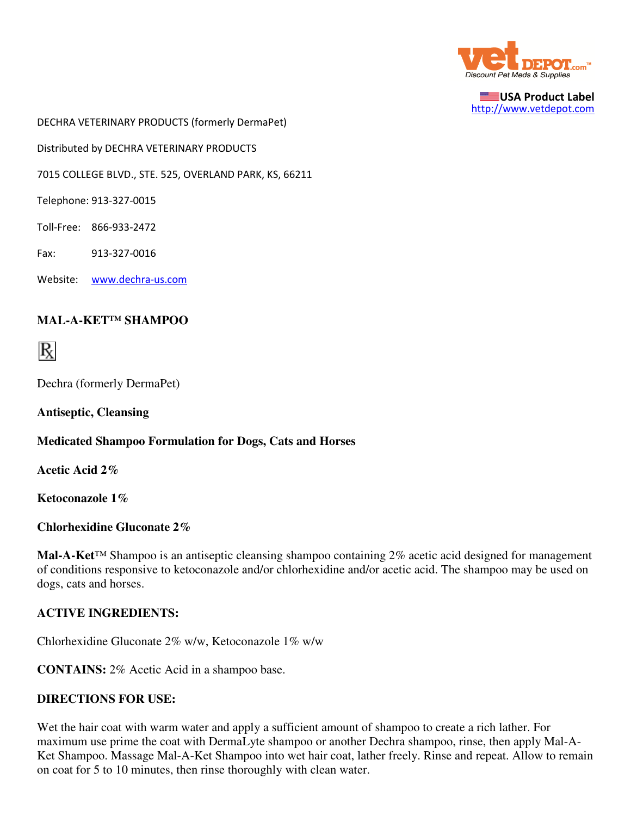

USA Product Label http://www.vetdepot.com

DECHRA VETERINARY PRODUCTS (formerly DermaPet)

Distributed by DECHRA VETERINARY PRODUCTS

7015 COLLEGE BLVD., STE. 525, OVERLAND PARK, KS, 66211

Telephone: 913-327-0015

Toll-Free: 866-933-2472

Fax: 913-327-0016

Website: www.dechra-us.com

### **MAL-A-KET™ SHAMPOO**



Dechra (formerly DermaPet)

**Antiseptic, Cleansing**

#### **Medicated Shampoo Formulation for Dogs, Cats and Horses**

**Acetic Acid 2%**

**Ketoconazole 1%**

**Chlorhexidine Gluconate 2%**

**Mal-A-Ket**™ Shampoo is an antiseptic cleansing shampoo containing 2% acetic acid designed for management of conditions responsive to ketoconazole and/or chlorhexidine and/or acetic acid. The shampoo may be used on dogs, cats and horses.

#### **ACTIVE INGREDIENTS:**

Chlorhexidine Gluconate 2% w/w, Ketoconazole 1% w/w

**CONTAINS:** 2% Acetic Acid in a shampoo base.

#### **DIRECTIONS FOR USE:**

Wet the hair coat with warm water and apply a sufficient amount of shampoo to create a rich lather. For maximum use prime the coat with DermaLyte shampoo or another Dechra shampoo, rinse, then apply Mal-A-Ket Shampoo. Massage Mal-A-Ket Shampoo into wet hair coat, lather freely. Rinse and repeat. Allow to remain on coat for 5 to 10 minutes, then rinse thoroughly with clean water.